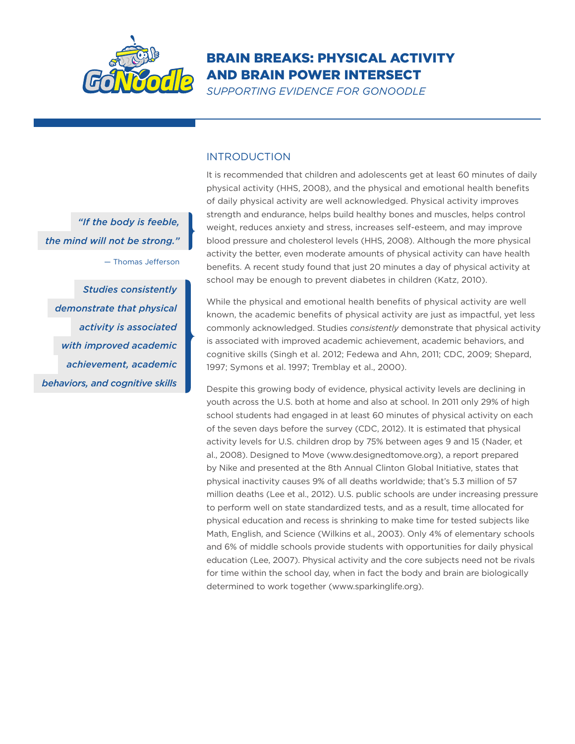

## Brain Breaks: Physical Activity and Brain Power Intersect

*Supporting Evidence for GoNoodle*

## **INTRODUCTION**

It is recommended that children and adolescents get at least 60 minutes of daily physical activity (HHS, 2008), and the physical and emotional health benefits of daily physical activity are well acknowledged. Physical activity improves strength and endurance, helps build healthy bones and muscles, helps control weight, reduces anxiety and stress, increases self-esteem, and may improve blood pressure and cholesterol levels (HHS, 2008). Although the more physical activity the better, even moderate amounts of physical activity can have health benefits. A recent study found that just 20 minutes a day of physical activity at school may be enough to prevent diabetes in children (Katz, 2010).

While the physical and emotional health benefits of physical activity are well known, the academic benefits of physical activity are just as impactful, yet less commonly acknowledged. Studies *consistently* demonstrate that physical activity is associated with improved academic achievement, academic behaviors, and cognitive skills (Singh et al. 2012; Fedewa and Ahn, 2011; CDC, 2009; Shepard, 1997; Symons et al. 1997; Tremblay et al., 2000).

Despite this growing body of evidence, physical activity levels are declining in youth across the U.S. both at home and also at school. In 2011 only 29% of high school students had engaged in at least 60 minutes of physical activity on each of the seven days before the survey (CDC, 2012). It is estimated that physical activity levels for U.S. children drop by 75% between ages 9 and 15 (Nader, et al., 2008). Designed to Move (www.designedtomove.org), a report prepared by Nike and presented at the 8th Annual Clinton Global Initiative, states that physical inactivity causes 9% of all deaths worldwide; that's 5.3 million of 57 million deaths (Lee et al., 2012). U.S. public schools are under increasing pressure to perform well on state standardized tests, and as a result, time allocated for physical education and recess is shrinking to make time for tested subjects like Math, English, and Science (Wilkins et al., 2003). Only 4% of elementary schools and 6% of middle schools provide students with opportunities for daily physical education (Lee, 2007). Physical activity and the core subjects need not be rivals for time within the school day, when in fact the body and brain are biologically determined to work together (www.sparkinglife.org).

*"If the body is feeble, the mind will not be strong."*

— Thomas Jefferson

*Studies consistently demonstrate that physical activity is associated with improved academic achievement, academic behaviors, and cognitive skills*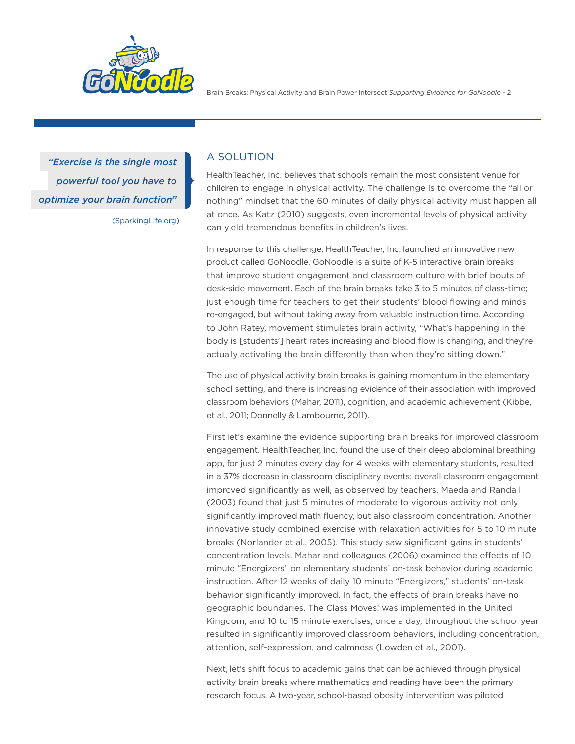

Brain Breaks: Physical Activity and Brain Power Intersect *Supporting Evidence for GoNoodle* - 2

(SparkingLife.org) *"Exercise is the single most powerful tool you have to optimize your brain function"*

## A Solution

HealthTeacher, Inc. believes that schools remain the most consistent venue for children to engage in physical activity. The challenge is to overcome the "all or nothing" mindset that the 60 minutes of daily physical activity must happen all at once. As Katz (2010) suggests, even incremental levels of physical activity can yield tremendous benefits in children's lives.

In response to this challenge, HealthTeacher, Inc. launched an innovative new product called GoNoodle. GoNoodle is a suite of K-5 interactive brain breaks that improve student engagement and classroom culture with brief bouts of desk-side movement. Each of the brain breaks take 3 to 5 minutes of class-time; just enough time for teachers to get their students' blood flowing and minds re-engaged, but without taking away from valuable instruction time. According to John Ratey, movement stimulates brain activity, "What's happening in the body is [students'] heart rates increasing and blood flow is changing, and they're actually activating the brain differently than when they're sitting down."

The use of physical activity brain breaks is gaining momentum in the elementary school setting, and there is increasing evidence of their association with improved classroom behaviors (Mahar, 2011), cognition, and academic achievement (Kibbe, et al., 2011; Donnelly & Lambourne, 2011).

First let's examine the evidence supporting brain breaks for improved classroom engagement. HealthTeacher, Inc. found the use of their deep abdominal breathing app, for just 2 minutes every day for 4 weeks with elementary students, resulted in a 37% decrease in classroom disciplinary events; overall classroom engagement improved significantly as well, as observed by teachers. Maeda and Randall (2003) found that just 5 minutes of moderate to vigorous activity not only significantly improved math fluency, but also classroom concentration. Another innovative study combined exercise with relaxation activities for 5 to 10 minute breaks (Norlander et al., 2005). This study saw significant gains in students' concentration levels. Mahar and colleagues (2006) examined the effects of 10 minute "Energizers" on elementary students' on-task behavior during academic instruction. After 12 weeks of daily 10 minute "Energizers," students' on-task behavior significantly improved. In fact, the effects of brain breaks have no geographic boundaries. The Class Moves! was implemented in the United Kingdom, and 10 to 15 minute exercises, once a day, throughout the school year resulted in significantly improved classroom behaviors, including concentration, attention, self-expression, and calmness (Lowden et al., 2001).

Next, let's shift focus to academic gains that can be achieved through physical activity brain breaks where mathematics and reading have been the primary research focus. A two-year, school-based obesity intervention was piloted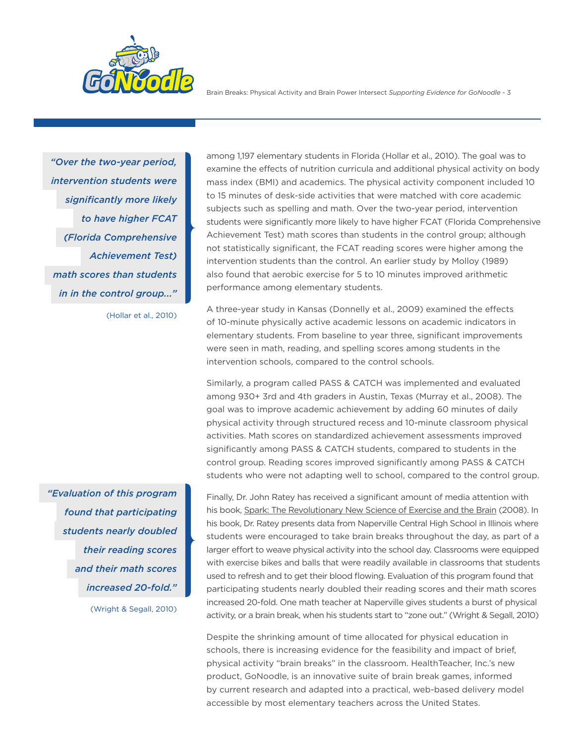

Brain Breaks: Physical Activity and Brain Power Intersect *Supporting Evidence for GoNoodle* - 3

*"Over the two-year period, intervention students were significantly more likely to have higher FCAT (Florida Comprehensive Achievement Test) math scores than students in in the control group..."*

(Hollar et al., 2010)

*"Evaluation of this program found that participating students nearly doubled their reading scores and their math scores increased 20-fold."* (Wright & Segall, 2010)

among 1,197 elementary students in Florida (Hollar et al., 2010). The goal was to examine the effects of nutrition curricula and additional physical activity on body mass index (BMI) and academics. The physical activity component included 10 to 15 minutes of desk-side activities that were matched with core academic subjects such as spelling and math. Over the two-year period, intervention students were significantly more likely to have higher FCAT (Florida Comprehensive Achievement Test) math scores than students in the control group; although not statistically significant, the FCAT reading scores were higher among the intervention students than the control. An earlier study by Molloy (1989) also found that aerobic exercise for 5 to 10 minutes improved arithmetic performance among elementary students.

A three-year study in Kansas (Donnelly et al., 2009) examined the effects of 10-minute physically active academic lessons on academic indicators in elementary students. From baseline to year three, significant improvements were seen in math, reading, and spelling scores among students in the intervention schools, compared to the control schools.

Similarly, a program called PASS & CATCH was implemented and evaluated among 930+ 3rd and 4th graders in Austin, Texas (Murray et al., 2008). The goal was to improve academic achievement by adding 60 minutes of daily physical activity through structured recess and 10-minute classroom physical activities. Math scores on standardized achievement assessments improved significantly among PASS & CATCH students, compared to students in the control group. Reading scores improved significantly among PASS & CATCH students who were not adapting well to school, compared to the control group.

Finally, Dr. John Ratey has received a significant amount of media attention with his book, Spark: The Revolutionary New Science of Exercise and the Brain (2008). In his book, Dr. Ratey presents data from Naperville Central High School in Illinois where students were encouraged to take brain breaks throughout the day, as part of a larger effort to weave physical activity into the school day. Classrooms were equipped with exercise bikes and balls that were readily available in classrooms that students used to refresh and to get their blood flowing. Evaluation of this program found that participating students nearly doubled their reading scores and their math scores increased 20-fold. One math teacher at Naperville gives students a burst of physical activity, or a brain break, when his students start to "zone out." (Wright & Segall, 2010)

Despite the shrinking amount of time allocated for physical education in schools, there is increasing evidence for the feasibility and impact of brief, physical activity "brain breaks" in the classroom. HealthTeacher, Inc.'s new product, GoNoodle, is an innovative suite of brain break games, informed by current research and adapted into a practical, web-based delivery model accessible by most elementary teachers across the United States.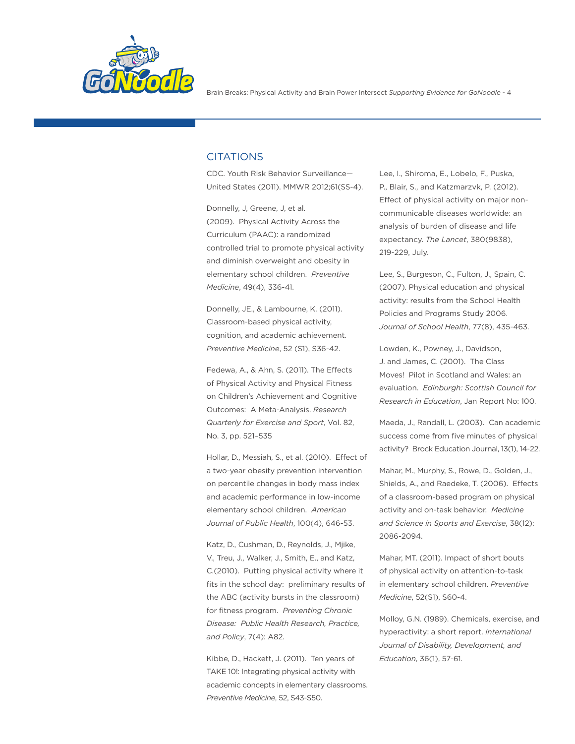

## **CITATIONS**

CDC. Youth Risk Behavior Surveillance— United States (2011). MMWR 2012;61(SS-4).

Donnelly, J, Greene, J, et al. (2009). Physical Activity Across the Curriculum (PAAC): a randomized controlled trial to promote physical activity and diminish overweight and obesity in elementary school children. *Preventive Medicine*, 49(4), 336-41.

Donnelly, JE., & Lambourne, K. (2011). Classroom-based physical activity, cognition, and academic achievement. *Preventive Medicine*, 52 (S1), S36-42.

Fedewa, A., & Ahn, S. (2011). The Effects of Physical Activity and Physical Fitness on Children's Achievement and Cognitive Outcomes: A Meta-Analysis. *Research Quarterly for Exercise and Sport*, Vol. 82, No. 3, pp. 521–535

Hollar, D., Messiah, S., et al. (2010). Effect of a two-year obesity prevention intervention on percentile changes in body mass index and academic performance in low-income elementary school children. *American Journal of Public Health*, 100(4), 646-53.

Katz, D., Cushman, D., Reynolds, J., Mjike, V., Treu, J., Walker, J., Smith, E., and Katz, C.(2010). Putting physical activity where it fits in the school day: preliminary results of the ABC (activity bursts in the classroom) for fitness program. *Preventing Chronic Disease: Public Health Research, Practice, and Policy*, 7(4): A82.

Kibbe, D., Hackett, J. (2011). Ten years of TAKE 10!: Integrating physical activity with academic concepts in elementary classrooms. *Preventive Medicine*, 52, S43-S50.

Lee, I., Shiroma, E., Lobelo, F., Puska, P., Blair, S., and Katzmarzvk, P. (2012). Effect of physical activity on major noncommunicable diseases worldwide: an analysis of burden of disease and life expectancy. *The Lancet*, 380(9838), 219-229, July.

Lee, S., Burgeson, C., Fulton, J., Spain, C. (2007). Physical education and physical activity: results from the School Health Policies and Programs Study 2006. *Journal of School Health*, 77(8), 435-463.

Lowden, K., Powney, J., Davidson, J. and James, C. (2001). The Class Moves! Pilot in Scotland and Wales: an evaluation. *Edinburgh: Scottish Council for Research in Education*, Jan Report No: 100.

Maeda, J., Randall, L. (2003). Can academic success come from five minutes of physical activity? Brock Education Journal, 13(1), 14-22.

Mahar, M., Murphy, S., Rowe, D., Golden, J., Shields, A., and Raedeke, T. (2006). Effects of a classroom-based program on physical activity and on-task behavior. *Medicine and Science in Sports and Exercise*, 38(12): 2086-2094.

Mahar, MT. (2011). Impact of short bouts of physical activity on attention-to-task in elementary school children. *Preventive Medicine*, 52(S1), S60-4.

Molloy, G.N. (1989). Chemicals, exercise, and hyperactivity: a short report. *International Journal of Disability, Development, and Education*, 36(1), 57-61.